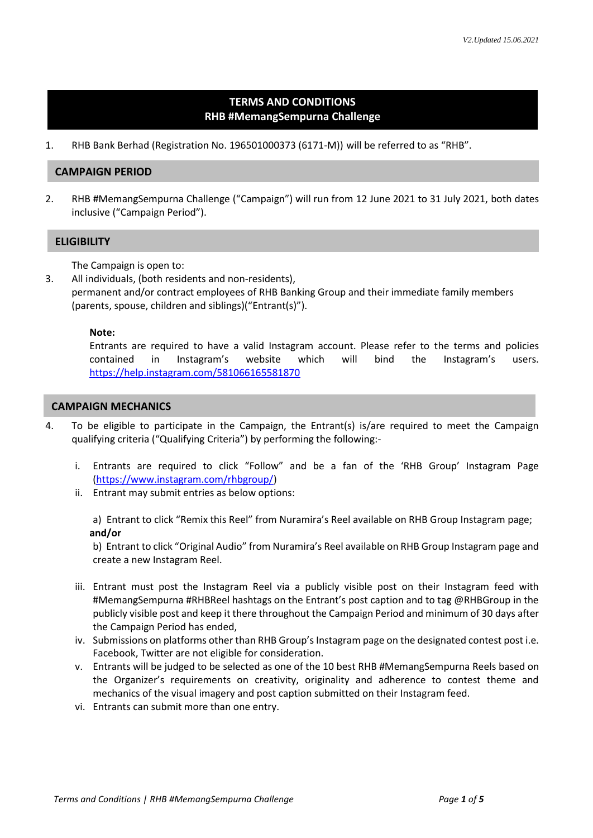# **TERMS AND CONDITIONS RHB #MemangSempurna Challenge**

1. RHB Bank Berhad (Registration No. 196501000373 (6171-M)) will be referred to as "RHB".

# **CAMPAIGN PERIOD**

2. RHB #MemangSempurna Challenge ("Campaign") will run from 12 June 2021 to 31 July 2021, both dates inclusive ("Campaign Period").

## **ELIGIBILITY**

The Campaign is open to:

3. All individuals, (both residents and non-residents),

permanent and/or contract employees of RHB Banking Group and their immediate family members (parents, spouse, children and siblings)("Entrant(s)").

## **Note:**

Entrants are required to have a valid Instagram account. Please refer to the terms and policies contained in Instagram's website which will bind the Instagram's users. <https://help.instagram.com/581066165581870>

# **CAMPAIGN MECHANICS**

- 4. To be eligible to participate in the Campaign, the Entrant(s) is/are required to meet the Campaign qualifying criteria ("Qualifying Criteria") by performing the following:
	- i. Entrants are required to click "Follow" and be a fan of the 'RHB Group' Instagram Page [\(https://www.instagram.com/rhbgroup/\)](https://www.instagram.com/rhbgroup/)
	- ii. Entrant may submit entries as below options:

a) Entrant to click "Remix this Reel" from Nuramira's Reel available on RHB Group Instagram page; **and/or**

b) Entrant to click "Original Audio" from Nuramira's Reel available on RHB Group Instagram page and create a new Instagram Reel.

- iii. Entrant must post the Instagram Reel via a publicly visible post on their Instagram feed with #MemangSempurna #RHBReel hashtags on the Entrant's post caption and to tag @RHBGroup in the publicly visible post and keep it there throughout the Campaign Period and minimum of 30 days after the Campaign Period has ended,
- iv. Submissions on platforms other than RHB Group's Instagram page on the designated contest post i.e. Facebook, Twitter are not eligible for consideration.
- v. Entrants will be judged to be selected as one of the 10 best RHB #MemangSempurna Reels based on the Organizer's requirements on creativity, originality and adherence to contest theme and mechanics of the visual imagery and post caption submitted on their Instagram feed.
- vi. Entrants can submit more than one entry.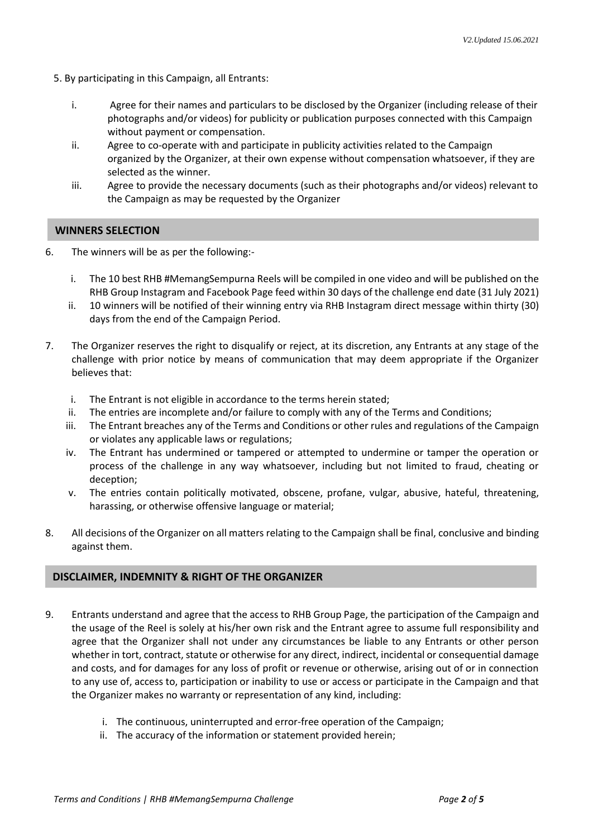- 5. By participating in this Campaign, all Entrants:
	- i. Agree for their names and particulars to be disclosed by the Organizer (including release of their photographs and/or videos) for publicity or publication purposes connected with this Campaign without payment or compensation.
	- ii. Agree to co-operate with and participate in publicity activities related to the Campaign organized by the Organizer, at their own expense without compensation whatsoever, if they are selected as the winner.
	- iii. Agree to provide the necessary documents (such as their photographs and/or videos) relevant to the Campaign as may be requested by the Organizer

## **WINNERS SELECTION**

- 6. The winners will be as per the following:
	- i. The 10 best RHB #MemangSempurna Reels will be compiled in one video and will be published on the RHB Group Instagram and Facebook Page feed within 30 days of the challenge end date (31 July 2021)
	- ii. 10 winners will be notified of their winning entry via RHB Instagram direct message within thirty (30) days from the end of the Campaign Period.
- 7. The Organizer reserves the right to disqualify or reject, at its discretion, any Entrants at any stage of the challenge with prior notice by means of communication that may deem appropriate if the Organizer believes that:
	- i. The Entrant is not eligible in accordance to the terms herein stated;
	- ii. The entries are incomplete and/or failure to comply with any of the Terms and Conditions;
	- iii. The Entrant breaches any of the Terms and Conditions or other rules and regulations of the Campaign or violates any applicable laws or regulations;
	- iv. The Entrant has undermined or tampered or attempted to undermine or tamper the operation or process of the challenge in any way whatsoever, including but not limited to fraud, cheating or deception;
	- v. The entries contain politically motivated, obscene, profane, vulgar, abusive, hateful, threatening, harassing, or otherwise offensive language or material;
- 8. All decisions of the Organizer on all matters relating to the Campaign shall be final, conclusive and binding against them.

## **DISCLAIMER, INDEMNITY & RIGHT OF THE ORGANIZER**

- 9. Entrants understand and agree that the access to RHB Group Page, the participation of the Campaign and the usage of the Reel is solely at his/her own risk and the Entrant agree to assume full responsibility and agree that the Organizer shall not under any circumstances be liable to any Entrants or other person whether in tort, contract, statute or otherwise for any direct, indirect, incidental or consequential damage and costs, and for damages for any loss of profit or revenue or otherwise, arising out of or in connection to any use of, access to, participation or inability to use or access or participate in the Campaign and that the Organizer makes no warranty or representation of any kind, including:
	- i. The continuous, uninterrupted and error-free operation of the Campaign;
	- ii. The accuracy of the information or statement provided herein;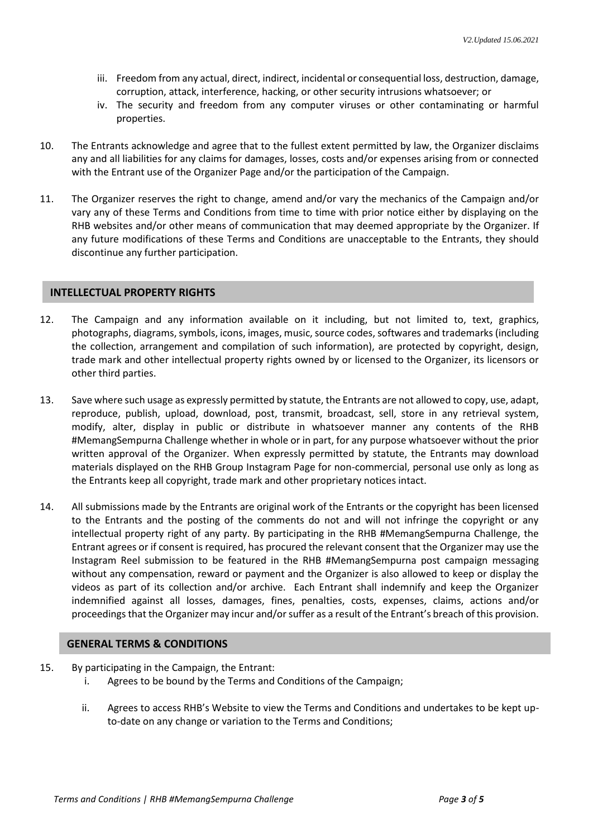- iii. Freedom from any actual, direct, indirect, incidental or consequential loss, destruction, damage, corruption, attack, interference, hacking, or other security intrusions whatsoever; or
- iv. The security and freedom from any computer viruses or other contaminating or harmful properties.
- 10. The Entrants acknowledge and agree that to the fullest extent permitted by law, the Organizer disclaims any and all liabilities for any claims for damages, losses, costs and/or expenses arising from or connected with the Entrant use of the Organizer Page and/or the participation of the Campaign.
- 11. The Organizer reserves the right to change, amend and/or vary the mechanics of the Campaign and/or vary any of these Terms and Conditions from time to time with prior notice either by displaying on the RHB websites and/or other means of communication that may deemed appropriate by the Organizer. If any future modifications of these Terms and Conditions are unacceptable to the Entrants, they should discontinue any further participation.

#### **INTELLECTUAL PROPERTY RIGHTS**

- 12. The Campaign and any information available on it including, but not limited to, text, graphics, photographs, diagrams, symbols, icons, images, music, source codes, softwares and trademarks (including the collection, arrangement and compilation of such information), are protected by copyright, design, trade mark and other intellectual property rights owned by or licensed to the Organizer, its licensors or other third parties.
- 13. Save where such usage as expressly permitted by statute, the Entrants are not allowed to copy, use, adapt, reproduce, publish, upload, download, post, transmit, broadcast, sell, store in any retrieval system, modify, alter, display in public or distribute in whatsoever manner any contents of the RHB #MemangSempurna Challenge whether in whole or in part, for any purpose whatsoever without the prior written approval of the Organizer. When expressly permitted by statute, the Entrants may download materials displayed on the RHB Group Instagram Page for non-commercial, personal use only as long as the Entrants keep all copyright, trade mark and other proprietary notices intact.
- 14. All submissions made by the Entrants are original work of the Entrants or the copyright has been licensed to the Entrants and the posting of the comments do not and will not infringe the copyright or any intellectual property right of any party. By participating in the RHB #MemangSempurna Challenge, the Entrant agrees or if consent is required, has procured the relevant consent that the Organizer may use the Instagram Reel submission to be featured in the RHB #MemangSempurna post campaign messaging without any compensation, reward or payment and the Organizer is also allowed to keep or display the videos as part of its collection and/or archive. Each Entrant shall indemnify and keep the Organizer indemnified against all losses, damages, fines, penalties, costs, expenses, claims, actions and/or proceedings that the Organizer may incur and/or suffer as a result of the Entrant's breach of this provision.

#### **GENERAL TERMS & CONDITIONS**

- 15. By participating in the Campaign, the Entrant:
	- i. Agrees to be bound by the Terms and Conditions of the Campaign;
	- ii. Agrees to access RHB's Website to view the Terms and Conditions and undertakes to be kept upto-date on any change or variation to the Terms and Conditions;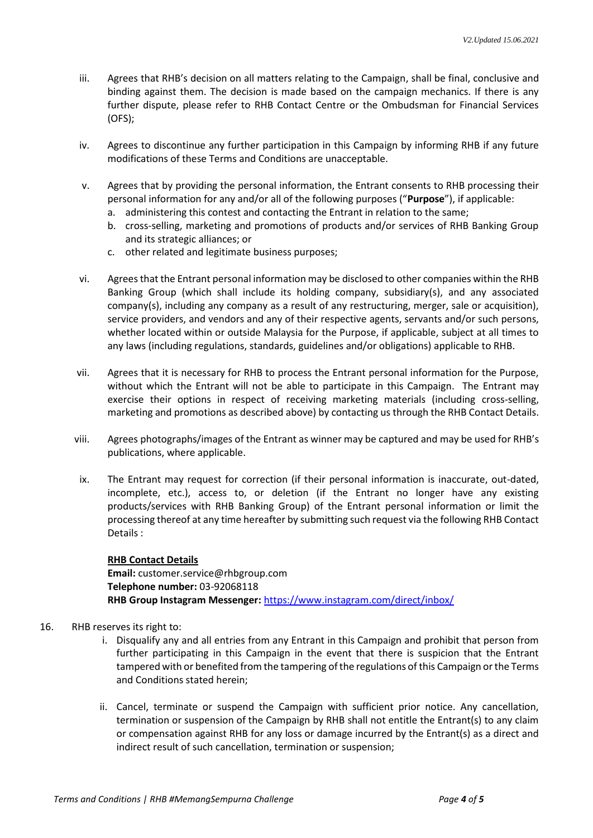- iii. Agrees that RHB's decision on all matters relating to the Campaign, shall be final, conclusive and binding against them. The decision is made based on the campaign mechanics. If there is any further dispute, please refer to RHB Contact Centre or the Ombudsman for Financial Services (OFS);
- iv. Agrees to discontinue any further participation in this Campaign by informing RHB if any future modifications of these Terms and Conditions are unacceptable.
- v. Agrees that by providing the personal information, the Entrant consents to RHB processing their personal information for any and/or all of the following purposes ("**Purpose**"), if applicable:
	- a. administering this contest and contacting the Entrant in relation to the same;
	- b. cross-selling, marketing and promotions of products and/or services of RHB Banking Group and its strategic alliances; or
	- c. other related and legitimate business purposes;
- vi. Agreesthat the Entrant personal information may be disclosed to other companies within the RHB Banking Group (which shall include its holding company, subsidiary(s), and any associated company(s), including any company as a result of any restructuring, merger, sale or acquisition), service providers, and vendors and any of their respective agents, servants and/or such persons, whether located within or outside Malaysia for the Purpose, if applicable, subject at all times to any laws (including regulations, standards, guidelines and/or obligations) applicable to RHB.
- vii. Agrees that it is necessary for RHB to process the Entrant personal information for the Purpose, without which the Entrant will not be able to participate in this Campaign. The Entrant may exercise their options in respect of receiving marketing materials (including cross-selling, marketing and promotions as described above) by contacting us through the RHB Contact Details.
- viii. Agrees photographs/images of the Entrant as winner may be captured and may be used for RHB's publications, where applicable.
- ix. The Entrant may request for correction (if their personal information is inaccurate, out-dated, incomplete, etc.), access to, or deletion (if the Entrant no longer have any existing products/services with RHB Banking Group) of the Entrant personal information or limit the processing thereof at any time hereafter by submitting such request via the following RHB Contact Details :

**RHB Contact Details Email:** customer.service@rhbgroup.com **Telephone number:** 03-92068118 **RHB Group Instagram Messenger:** <https://www.instagram.com/direct/inbox/>

## 16. RHB reserves its right to:

- i. Disqualify any and all entries from any Entrant in this Campaign and prohibit that person from further participating in this Campaign in the event that there is suspicion that the Entrant tampered with or benefited from the tampering of the regulations of this Campaign or the Terms and Conditions stated herein;
- ii. Cancel, terminate or suspend the Campaign with sufficient prior notice. Any cancellation, termination or suspension of the Campaign by RHB shall not entitle the Entrant(s) to any claim or compensation against RHB for any loss or damage incurred by the Entrant(s) as a direct and indirect result of such cancellation, termination or suspension;